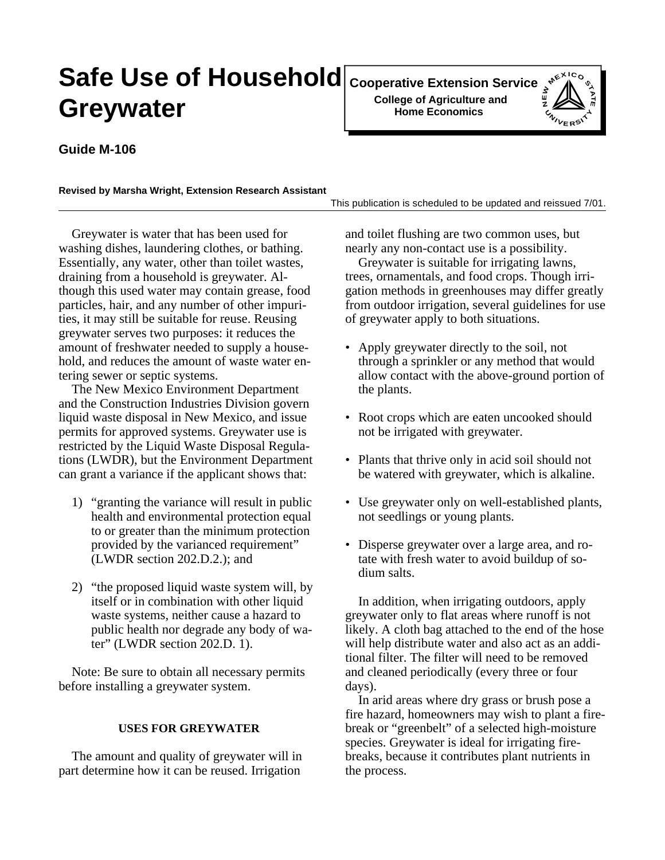# **Safe Use of Household** Cooperative Extension Service  $\frac{1}{2}$   $\leftarrow$   $\frac{1}{2}$ **Greywater**

**Cooperative Extension Service College of Agriculture and Home Economics**



# **Guide M-106**

#### **Revised by Marsha Wright, Extension Research Assistant**

This publication is scheduled to be updated and reissued 7/01.

Greywater is water that has been used for washing dishes, laundering clothes, or bathing. Essentially, any water, other than toilet wastes, draining from a household is greywater. Although this used water may contain grease, food particles, hair, and any number of other impurities, it may still be suitable for reuse. Reusing greywater serves two purposes: it reduces the amount of freshwater needed to supply a household, and reduces the amount of waste water entering sewer or septic systems.

The New Mexico Environment Department and the Construction Industries Division govern liquid waste disposal in New Mexico, and issue permits for approved systems. Greywater use is restricted by the Liquid Waste Disposal Regulations (LWDR), but the Environment Department can grant a variance if the applicant shows that:

- 1) "granting the variance will result in public health and environmental protection equal to or greater than the minimum protection provided by the varianced requirement" (LWDR section 202.D.2.); and
- 2) "the proposed liquid waste system will, by itself or in combination with other liquid waste systems, neither cause a hazard to public health nor degrade any body of water" (LWDR section 202.D. 1).

Note: Be sure to obtain all necessary permits before installing a greywater system.

# **USES FOR GREYWATER**

The amount and quality of greywater will in part determine how it can be reused. Irrigation

and toilet flushing are two common uses, but nearly any non-contact use is a possibility.

Greywater is suitable for irrigating lawns, trees, ornamentals, and food crops. Though irrigation methods in greenhouses may differ greatly from outdoor irrigation, several guidelines for use of greywater apply to both situations.

- Apply greywater directly to the soil, not through a sprinkler or any method that would allow contact with the above-ground portion of the plants.
- Root crops which are eaten uncooked should not be irrigated with greywater.
- Plants that thrive only in acid soil should not be watered with greywater, which is alkaline.
- Use greywater only on well-established plants, not seedlings or young plants.
- Disperse greywater over a large area, and rotate with fresh water to avoid buildup of sodium salts.

In addition, when irrigating outdoors, apply greywater only to flat areas where runoff is not likely. A cloth bag attached to the end of the hose will help distribute water and also act as an additional filter. The filter will need to be removed and cleaned periodically (every three or four days).

In arid areas where dry grass or brush pose a fire hazard, homeowners may wish to plant a firebreak or "greenbelt" of a selected high-moisture species. Greywater is ideal for irrigating firebreaks, because it contributes plant nutrients in the process.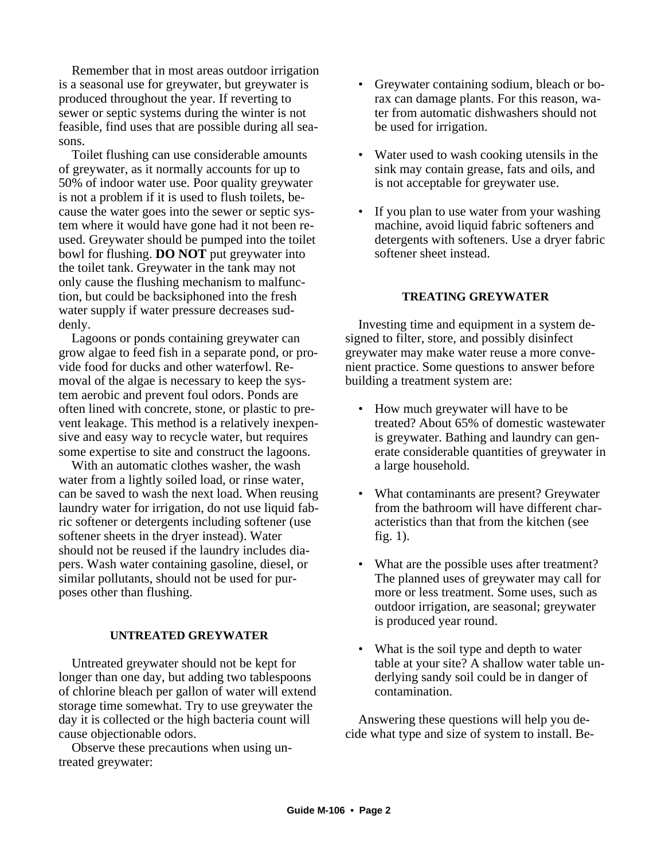Remember that in most areas outdoor irrigation is a seasonal use for greywater, but greywater is produced throughout the year. If reverting to sewer or septic systems during the winter is not feasible, find uses that are possible during all seasons.

Toilet flushing can use considerable amounts of greywater, as it normally accounts for up to 50% of indoor water use. Poor quality greywater is not a problem if it is used to flush toilets, because the water goes into the sewer or septic system where it would have gone had it not been reused. Greywater should be pumped into the toilet bowl for flushing. **DO NOT** put greywater into the toilet tank. Greywater in the tank may not only cause the flushing mechanism to malfunction, but could be backsiphoned into the fresh water supply if water pressure decreases suddenly.

Lagoons or ponds containing greywater can grow algae to feed fish in a separate pond, or provide food for ducks and other waterfowl. Removal of the algae is necessary to keep the system aerobic and prevent foul odors. Ponds are often lined with concrete, stone, or plastic to prevent leakage. This method is a relatively inexpensive and easy way to recycle water, but requires some expertise to site and construct the lagoons.

With an automatic clothes washer, the wash water from a lightly soiled load, or rinse water, can be saved to wash the next load. When reusing laundry water for irrigation, do not use liquid fabric softener or detergents including softener (use softener sheets in the dryer instead). Water should not be reused if the laundry includes diapers. Wash water containing gasoline, diesel, or similar pollutants, should not be used for purposes other than flushing.

## **UNTREATED GREYWATER**

Untreated greywater should not be kept for longer than one day, but adding two tablespoons of chlorine bleach per gallon of water will extend storage time somewhat. Try to use greywater the day it is collected or the high bacteria count will cause objectionable odors.

Observe these precautions when using untreated greywater:

- Greywater containing sodium, bleach or borax can damage plants. For this reason, water from automatic dishwashers should not be used for irrigation.
- Water used to wash cooking utensils in the sink may contain grease, fats and oils, and is not acceptable for greywater use.
- If you plan to use water from your washing machine, avoid liquid fabric softeners and detergents with softeners. Use a dryer fabric softener sheet instead.

#### **TREATING GREYWATER**

Investing time and equipment in a system designed to filter, store, and possibly disinfect greywater may make water reuse a more convenient practice. Some questions to answer before building a treatment system are:

- How much greywater will have to be treated? About 65% of domestic wastewater is greywater. Bathing and laundry can generate considerable quantities of greywater in a large household.
- What contaminants are present? Greywater from the bathroom will have different characteristics than that from the kitchen (see fig. 1).
- What are the possible uses after treatment? The planned uses of greywater may call for more or less treatment. Some uses, such as outdoor irrigation, are seasonal; greywater is produced year round.
- What is the soil type and depth to water table at your site? A shallow water table underlying sandy soil could be in danger of contamination.

Answering these questions will help you decide what type and size of system to install. Be-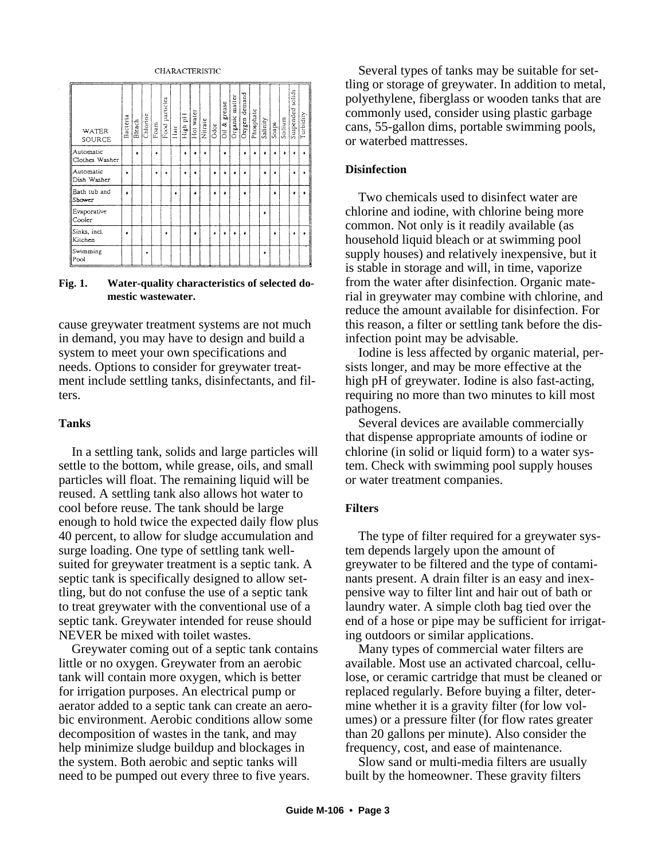

#### **Fig. 1. Water-quality characteristics of selected domestic wastewater.**

cause greywater treatment systems are not much in demand, you may have to design and build a system to meet your own specifications and needs. Options to consider for greywater treatment include settling tanks, disinfectants, and filters.

# **Tanks**

In a settling tank, solids and large particles will settle to the bottom, while grease, oils, and small particles will float. The remaining liquid will be reused. A settling tank also allows hot water to cool before reuse. The tank should be large enough to hold twice the expected daily flow plus 40 percent, to allow for sludge accumulation and surge loading. One type of settling tank wellsuited for greywater treatment is a septic tank. A septic tank is specifically designed to allow settling, but do not confuse the use of a septic tank to treat greywater with the conventional use of a septic tank. Greywater intended for reuse should NEVER be mixed with toilet wastes.

Greywater coming out of a septic tank contains little or no oxygen. Greywater from an aerobic tank will contain more oxygen, which is better for irrigation purposes. An electrical pump or aerator added to a septic tank can create an aerobic environment. Aerobic conditions allow some decomposition of wastes in the tank, and may help minimize sludge buildup and blockages in the system. Both aerobic and septic tanks will need to be pumped out every three to five years.

Several types of tanks may be suitable for settling or storage of greywater. In addition to metal, polyethylene, fiberglass or wooden tanks that are commonly used, consider using plastic garbage cans, 55-gallon dims, portable swimming pools, or waterbed mattresses.

# **Disinfection**

Two chemicals used to disinfect water are chlorine and iodine, with chlorine being more common. Not only is it readily available (as household liquid bleach or at swimming pool supply houses) and relatively inexpensive, but it is stable in storage and will, in time, vaporize from the water after disinfection. Organic material in greywater may combine with chlorine, and reduce the amount available for disinfection. For this reason, a filter or settling tank before the disinfection point may be advisable.

Iodine is less affected by organic material, persists longer, and may be more effective at the high pH of greywater. Iodine is also fast-acting, requiring no more than two minutes to kill most pathogens.

Several devices are available commercially that dispense appropriate amounts of iodine or chlorine (in solid or liquid form) to a water system. Check with swimming pool supply houses or water treatment companies.

# **Filters**

The type of filter required for a greywater system depends largely upon the amount of greywater to be filtered and the type of contaminants present. A drain filter is an easy and inexpensive way to filter lint and hair out of bath or laundry water. A simple cloth bag tied over the end of a hose or pipe may be sufficient for irrigating outdoors or similar applications.

Many types of commercial water filters are available. Most use an activated charcoal, cellulose, or ceramic cartridge that must be cleaned or replaced regularly. Before buying a filter, determine whether it is a gravity filter (for low volumes) or a pressure filter (for flow rates greater than 20 gallons per minute). Also consider the frequency, cost, and ease of maintenance.

Slow sand or multi-media filters are usually built by the homeowner. These gravity filters